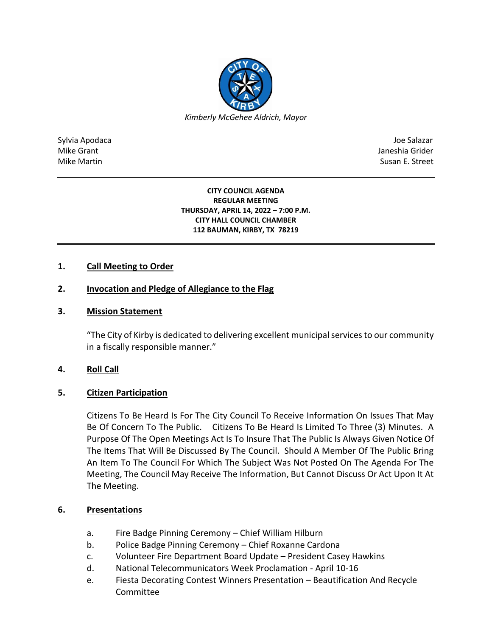

Sylvia Apodaca Joe Salazar Joe Salazar Joe Salazar Joe Salazar Joe Salazar Joe Salazar Joe Salazar Joe Salazar Mike Grant **Janeshia Grider** Mike Grant Janeshia Grider (1999) and the state of the state of the state of the state of the state of the state of the state of the state of the state of the state of the state of the state of Mike Martin Susan E. Street

#### **CITY COUNCIL AGENDA REGULAR MEETING THURSDAY, APRIL 14, 2022 – 7:00 P.M. CITY HALL COUNCIL CHAMBER 112 BAUMAN, KIRBY, TX 78219**

# **1. Call Meeting to Order**

# **2. Invocation and Pledge of Allegiance to the Flag**

### **3. Mission Statement**

"The City of Kirby is dedicated to delivering excellent municipal services to our community in a fiscally responsible manner."

### **4. Roll Call**

### **5. Citizen Participation**

Citizens To Be Heard Is For The City Council To Receive Information On Issues That May Be Of Concern To The Public. Citizens To Be Heard Is Limited To Three (3) Minutes. A Purpose Of The Open Meetings Act Is To Insure That The Public Is Always Given Notice Of The Items That Will Be Discussed By The Council. Should A Member Of The Public Bring An Item To The Council For Which The Subject Was Not Posted On The Agenda For The Meeting, The Council May Receive The Information, But Cannot Discuss Or Act Upon It At The Meeting.

### **6. Presentations**

- a. Fire Badge Pinning Ceremony Chief William Hilburn
- b. Police Badge Pinning Ceremony Chief Roxanne Cardona
- c. Volunteer Fire Department Board Update President Casey Hawkins
- d. National Telecommunicators Week Proclamation April 10-16
- e. Fiesta Decorating Contest Winners Presentation Beautification And Recycle Committee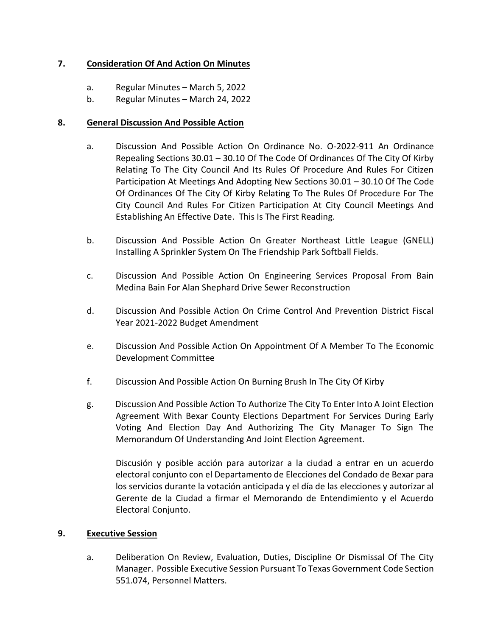# **7. Consideration Of And Action On Minutes**

- a. Regular Minutes March 5, 2022
- b. Regular Minutes March 24, 2022

## **8. General Discussion And Possible Action**

- a. Discussion And Possible Action On Ordinance No. O-2022-911 An Ordinance Repealing Sections 30.01 – 30.10 Of The Code Of Ordinances Of The City Of Kirby Relating To The City Council And Its Rules Of Procedure And Rules For Citizen Participation At Meetings And Adopting New Sections 30.01 – 30.10 Of The Code Of Ordinances Of The City Of Kirby Relating To The Rules Of Procedure For The City Council And Rules For Citizen Participation At City Council Meetings And Establishing An Effective Date. This Is The First Reading.
- b. Discussion And Possible Action On Greater Northeast Little League (GNELL) Installing A Sprinkler System On The Friendship Park Softball Fields.
- c. Discussion And Possible Action On Engineering Services Proposal From Bain Medina Bain For Alan Shephard Drive Sewer Reconstruction
- d. Discussion And Possible Action On Crime Control And Prevention District Fiscal Year 2021-2022 Budget Amendment
- e. Discussion And Possible Action On Appointment Of A Member To The Economic Development Committee
- f. Discussion And Possible Action On Burning Brush In The City Of Kirby
- g. Discussion And Possible Action To Authorize The City To Enter Into A Joint Election Agreement With Bexar County Elections Department For Services During Early Voting And Election Day And Authorizing The City Manager To Sign The Memorandum Of Understanding And Joint Election Agreement.

Discusión y posible acción para autorizar a la ciudad a entrar en un acuerdo electoral conjunto con el Departamento de Elecciones del Condado de Bexar para los servicios durante la votación anticipada y el día de las elecciones y autorizar al Gerente de la Ciudad a firmar el Memorando de Entendimiento y el Acuerdo Electoral Conjunto.

### **9. Executive Session**

a. Deliberation On Review, Evaluation, Duties, Discipline Or Dismissal Of The City Manager. Possible Executive Session Pursuant To Texas Government Code Section 551.074, Personnel Matters.